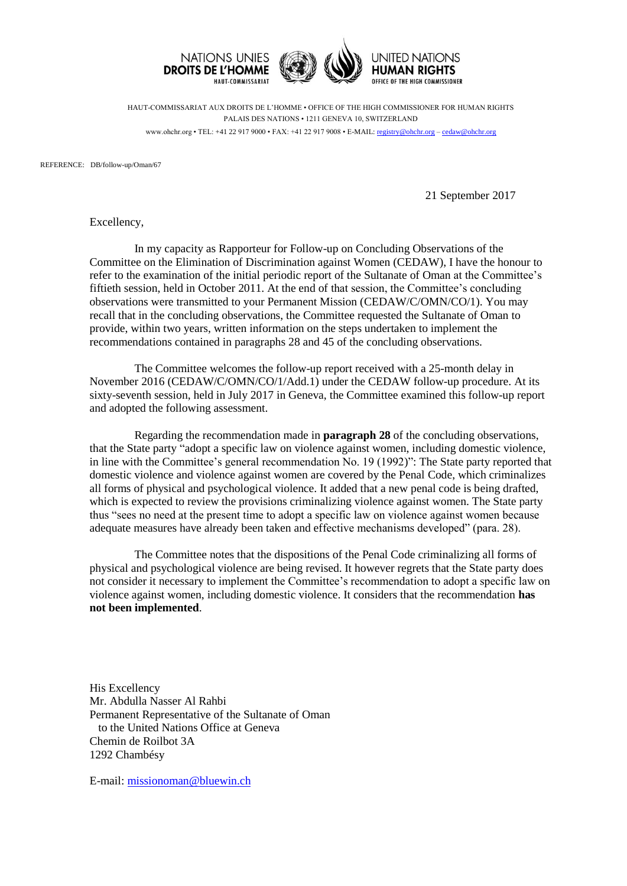

HAUT-COMMISSARIAT AUX DROITS DE L'HOMME • OFFICE OF THE HIGH COMMISSIONER FOR HUMAN RIGHTS PALAIS DES NATIONS • 1211 GENEVA 10, SWITZERLAND www.ohchr.org • TEL: +41 22 917 9000 • FAX: +41 22 917 9008 • E-MAIL: [registry@ohchr.org](mailto:registry@ohchr.org) – [cedaw@ohchr.org](mailto:cedaw@ohchr.org)

REFERENCE: DB/follow-up/Oman/67

21 September 2017

Excellency,

In my capacity as Rapporteur for Follow-up on Concluding Observations of the Committee on the Elimination of Discrimination against Women (CEDAW), I have the honour to refer to the examination of the initial periodic report of the Sultanate of Oman at the Committee's fiftieth session, held in October 2011. At the end of that session, the Committee's concluding observations were transmitted to your Permanent Mission (CEDAW/C/OMN/CO/1). You may recall that in the concluding observations, the Committee requested the Sultanate of Oman to provide, within two years, written information on the steps undertaken to implement the recommendations contained in paragraphs 28 and 45 of the concluding observations.

The Committee welcomes the follow-up report received with a 25-month delay in November 2016 (CEDAW/C/OMN/CO/1/Add.1) under the CEDAW follow-up procedure. At its sixty-seventh session, held in July 2017 in Geneva, the Committee examined this follow-up report and adopted the following assessment.

Regarding the recommendation made in **paragraph 28** of the concluding observations, that the State party "adopt a specific law on violence against women, including domestic violence, in line with the Committee's general recommendation No. 19 (1992)": The State party reported that domestic violence and violence against women are covered by the Penal Code, which criminalizes all forms of physical and psychological violence. It added that a new penal code is being drafted, which is expected to review the provisions criminalizing violence against women. The State party thus "sees no need at the present time to adopt a specific law on violence against women because adequate measures have already been taken and effective mechanisms developed" (para. 28).

The Committee notes that the dispositions of the Penal Code criminalizing all forms of physical and psychological violence are being revised. It however regrets that the State party does not consider it necessary to implement the Committee's recommendation to adopt a specific law on violence against women, including domestic violence. It considers that the recommendation **has not been implemented**.

His Excellency Mr. Abdulla Nasser Al Rahbi Permanent Representative of the Sultanate of Oman to the United Nations Office at Geneva Chemin de Roilbot 3A 1292 Chambésy

E-mail: [missionoman@bluewin.ch](mailto:missionoman@bluewin.ch)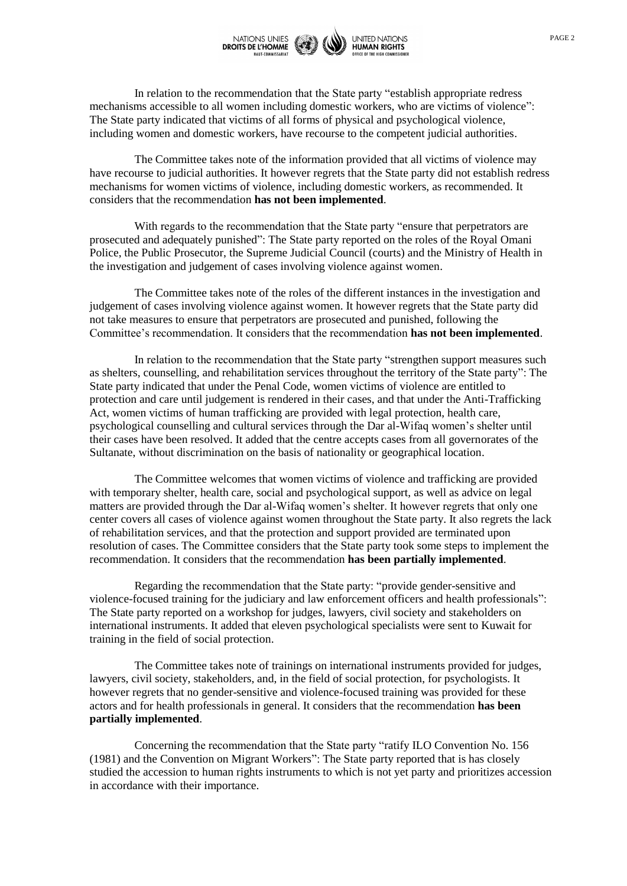

In relation to the recommendation that the State party "establish appropriate redress mechanisms accessible to all women including domestic workers, who are victims of violence": The State party indicated that victims of all forms of physical and psychological violence, including women and domestic workers, have recourse to the competent judicial authorities.

The Committee takes note of the information provided that all victims of violence may have recourse to judicial authorities. It however regrets that the State party did not establish redress mechanisms for women victims of violence, including domestic workers, as recommended. It considers that the recommendation **has not been implemented**.

With regards to the recommendation that the State party "ensure that perpetrators are prosecuted and adequately punished": The State party reported on the roles of the Royal Omani Police, the Public Prosecutor, the Supreme Judicial Council (courts) and the Ministry of Health in the investigation and judgement of cases involving violence against women.

The Committee takes note of the roles of the different instances in the investigation and judgement of cases involving violence against women. It however regrets that the State party did not take measures to ensure that perpetrators are prosecuted and punished, following the Committee's recommendation. It considers that the recommendation **has not been implemented**.

In relation to the recommendation that the State party "strengthen support measures such as shelters, counselling, and rehabilitation services throughout the territory of the State party": The State party indicated that under the Penal Code, women victims of violence are entitled to protection and care until judgement is rendered in their cases, and that under the Anti-Trafficking Act, women victims of human trafficking are provided with legal protection, health care, psychological counselling and cultural services through the Dar al-Wifaq women's shelter until their cases have been resolved. It added that the centre accepts cases from all governorates of the Sultanate, without discrimination on the basis of nationality or geographical location.

The Committee welcomes that women victims of violence and trafficking are provided with temporary shelter, health care, social and psychological support, as well as advice on legal matters are provided through the Dar al-Wifaq women's shelter. It however regrets that only one center covers all cases of violence against women throughout the State party. It also regrets the lack of rehabilitation services, and that the protection and support provided are terminated upon resolution of cases. The Committee considers that the State party took some steps to implement the recommendation. It considers that the recommendation **has been partially implemented**.

Regarding the recommendation that the State party: "provide gender-sensitive and violence-focused training for the judiciary and law enforcement officers and health professionals": The State party reported on a workshop for judges, lawyers, civil society and stakeholders on international instruments. It added that eleven psychological specialists were sent to Kuwait for training in the field of social protection.

The Committee takes note of trainings on international instruments provided for judges, lawyers, civil society, stakeholders, and, in the field of social protection, for psychologists. It however regrets that no gender-sensitive and violence-focused training was provided for these actors and for health professionals in general. It considers that the recommendation **has been partially implemented**.

Concerning the recommendation that the State party "ratify ILO Convention No. 156 (1981) and the Convention on Migrant Workers": The State party reported that is has closely studied the accession to human rights instruments to which is not yet party and prioritizes accession in accordance with their importance.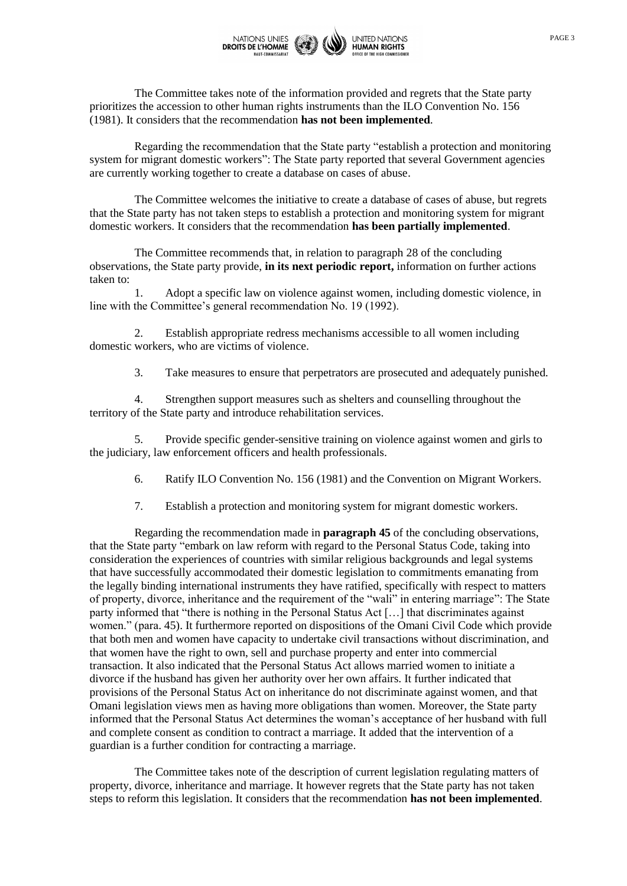

The Committee takes note of the information provided and regrets that the State party prioritizes the accession to other human rights instruments than the ILO Convention No. 156 (1981). It considers that the recommendation **has not been implemented**.

Regarding the recommendation that the State party "establish a protection and monitoring system for migrant domestic workers": The State party reported that several Government agencies are currently working together to create a database on cases of abuse.

The Committee welcomes the initiative to create a database of cases of abuse, but regrets that the State party has not taken steps to establish a protection and monitoring system for migrant domestic workers. It considers that the recommendation **has been partially implemented**.

The Committee recommends that, in relation to paragraph 28 of the concluding observations, the State party provide, **in its next periodic report,** information on further actions taken to:

1. Adopt a specific law on violence against women, including domestic violence, in line with the Committee's general recommendation No. 19 (1992).

2. Establish appropriate redress mechanisms accessible to all women including domestic workers, who are victims of violence.

3. Take measures to ensure that perpetrators are prosecuted and adequately punished.

4. Strengthen support measures such as shelters and counselling throughout the territory of the State party and introduce rehabilitation services.

5. Provide specific gender-sensitive training on violence against women and girls to the judiciary, law enforcement officers and health professionals.

6. Ratify ILO Convention No. 156 (1981) and the Convention on Migrant Workers.

7. Establish a protection and monitoring system for migrant domestic workers.

Regarding the recommendation made in **paragraph 45** of the concluding observations, that the State party "embark on law reform with regard to the Personal Status Code, taking into consideration the experiences of countries with similar religious backgrounds and legal systems that have successfully accommodated their domestic legislation to commitments emanating from the legally binding international instruments they have ratified, specifically with respect to matters of property, divorce, inheritance and the requirement of the "wali" in entering marriage": The State party informed that "there is nothing in the Personal Status Act […] that discriminates against women." (para. 45). It furthermore reported on dispositions of the Omani Civil Code which provide that both men and women have capacity to undertake civil transactions without discrimination, and that women have the right to own, sell and purchase property and enter into commercial transaction. It also indicated that the Personal Status Act allows married women to initiate a divorce if the husband has given her authority over her own affairs. It further indicated that provisions of the Personal Status Act on inheritance do not discriminate against women, and that Omani legislation views men as having more obligations than women. Moreover, the State party informed that the Personal Status Act determines the woman's acceptance of her husband with full and complete consent as condition to contract a marriage. It added that the intervention of a guardian is a further condition for contracting a marriage.

The Committee takes note of the description of current legislation regulating matters of property, divorce, inheritance and marriage. It however regrets that the State party has not taken steps to reform this legislation. It considers that the recommendation **has not been implemented**.